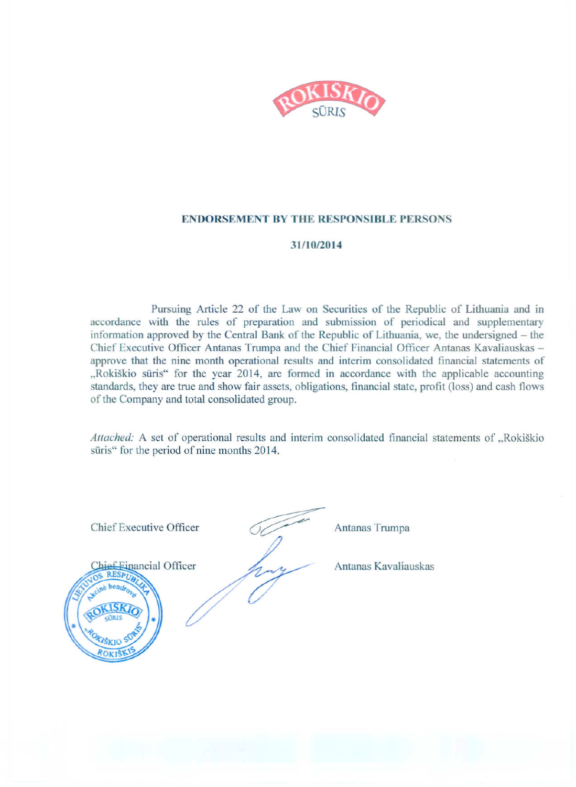

#### **ENDORSEMENT BY THE RESPONSIBLE PERSONS**

#### 31/10/2014

Pursuing Article 22 of the Law on Securities of the Republic of Lithuania and in accordance with the rules of preparation and submission of periodical and supplementary information approved by the Central Bank of the Republic of Lithuania, we, the undersigned - the Chief Executive Officer Antanas Trumpa and the Chief Financial Officer Antanas Kavaliauskas approve that the nine month operational results and interim consolidated financial statements of "Rokiškio sūris" for the year 2014, are formed in accordance with the applicable accounting standards, they are true and show fair assets, obligations, financial state, profit (loss) and cash flows of the Company and total consolidated group.

Attached: A set of operational results and interim consolidated financial statements of "Rokiškio sūris" for the period of nine months 2014.



Antanas Trumpa

Antanas Kavaliauskas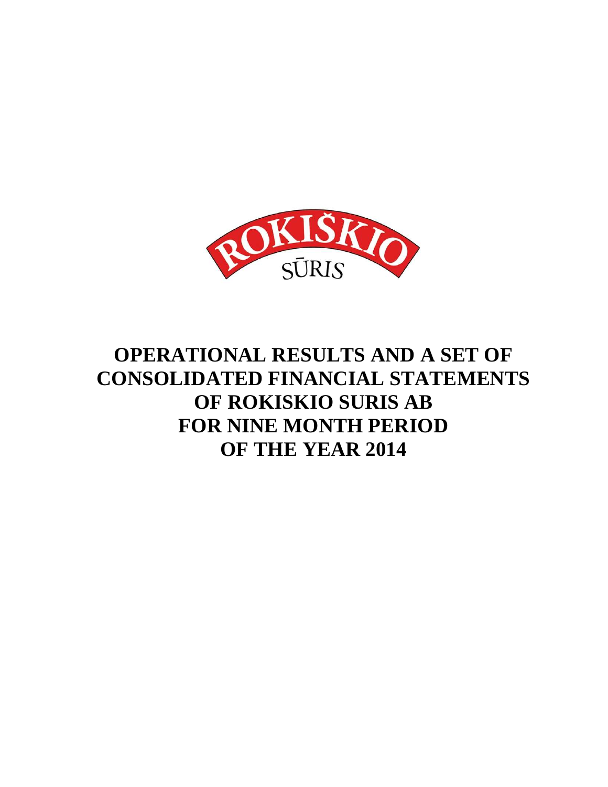

# **OPERATIONAL RESULTS AND A SET OF CONSOLIDATED FINANCIAL STATEMENTS OF ROKISKIO SURIS AB FOR NINE MONTH PERIOD OF THE YEAR 2014**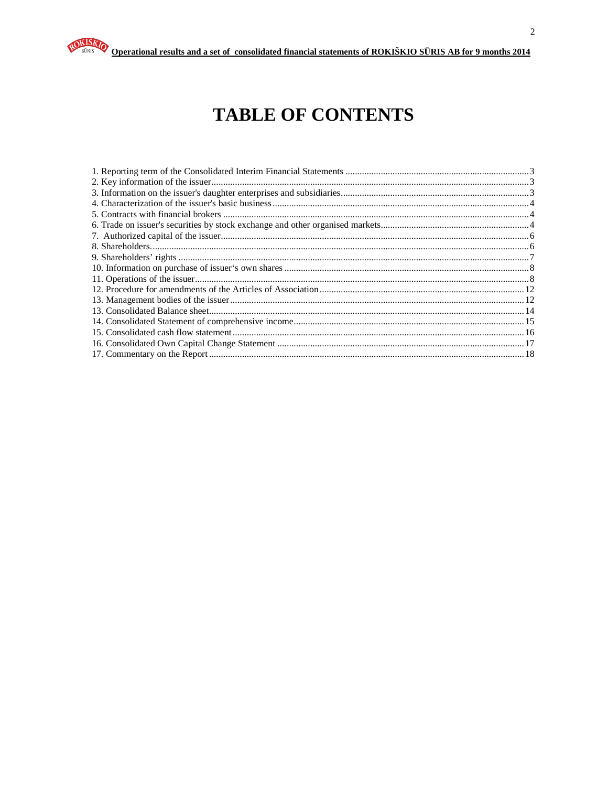# **TABLE OF CONTENTS**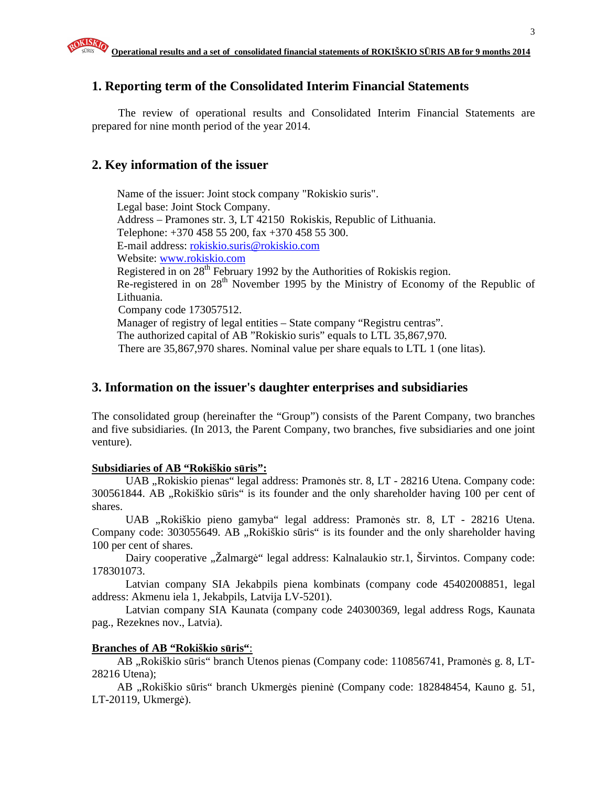#### **1. Reporting term of the Consolidated Interim Financial Statements**

The review of operational results and Consolidated Interim Financial Statements are prepared for nine month period of the year 2014.

#### **2. Key information of the issuer**

Name of the issuer: Joint stock company "Rokiskio suris". Legal base: Joint Stock Company. Address – Pramones str. 3, LT 42150 Rokiskis, Republic of Lithuania. Telephone: +370 458 55 200, fax +370 458 55 300. E-mail address: rokiskio.suris@rokiskio.com Website: www.rokiskio.com Registered in on  $28<sup>th</sup>$  February 1992 by the Authorities of Rokiskis region. Re-registered in on 28<sup>th</sup> November 1995 by the Ministry of Economy of the Republic of Lithuania. Company code 173057512. Manager of registry of legal entities – State company "Registru centras". The authorized capital of AB "Rokiskio suris" equals to LTL 35,867,970. There are 35,867,970 shares. Nominal value per share equals to LTL 1 (one litas).

#### **3. Information on the issuer's daughter enterprises and subsidiaries**

The consolidated group (hereinafter the "Group") consists of the Parent Company, two branches and five subsidiaries. (In 2013, the Parent Company, two branches, five subsidiaries and one joint venture).

#### **Subsidiaries of AB "Rokiškio s**ū**ris":**

UAB "Rokiskio pienas" legal address: Pramonės str. 8, LT - 28216 Utena. Company code: 300561844. AB "Rokiškio sūris" is its founder and the only shareholder having 100 per cent of shares.

UAB "Rokiškio pieno gamyba" legal address: Pramonės str. 8, LT - 28216 Utena. Company code: 303055649. AB, Rokiškio sūris" is its founder and the only shareholder having 100 per cent of shares.

Dairy cooperative "Žalmargė" legal address: Kalnalaukio str.1, Širvintos. Company code: 178301073.

Latvian company SIA Jekabpils piena kombinats (company code 45402008851, legal address: Akmenu iela 1, Jekabpils, Latvija LV-5201).

Latvian company SIA Kaunata (company code 240300369, legal address Rogs, Kaunata pag., Rezeknes nov., Latvia).

#### **Branches of AB "Rokiškio s**ū**ris"**:

AB "Rokiškio sūris" branch Utenos pienas (Company code: 110856741, Pramonės g. 8, LT-28216 Utena);

AB "Rokiškio sūris" branch Ukmergės pieninė (Company code: 182848454, Kauno g. 51, LT-20119, Ukmergė).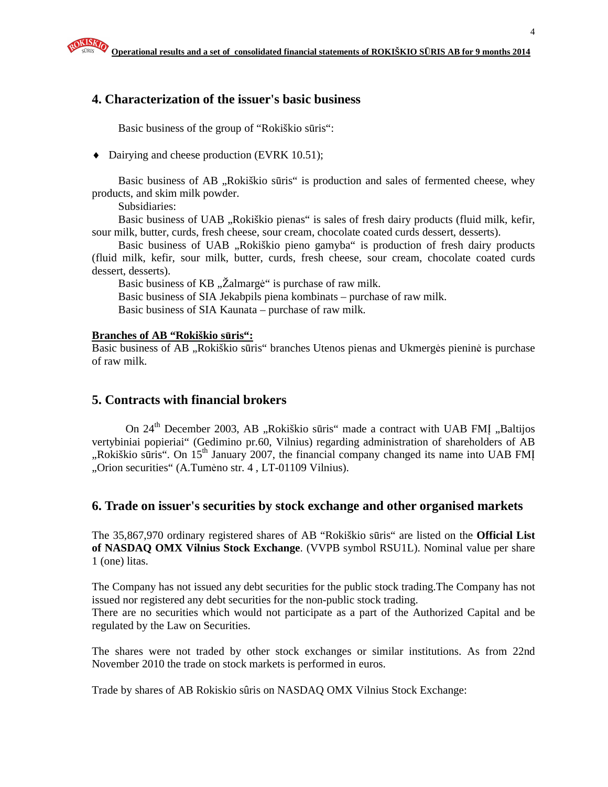#### **4. Characterization of the issuer's basic business**

Basic business of the group of "Rokiškio sūris":

♦ Dairying and cheese production (EVRK 10.51);

Basic business of AB "Rokiškio sūris" is production and sales of fermented cheese, whey products, and skim milk powder.

Subsidiaries:

Basic business of UAB "Rokiškio pienas" is sales of fresh dairy products (fluid milk, kefir, sour milk, butter, curds, fresh cheese, sour cream, chocolate coated curds dessert, desserts).

Basic business of UAB "Rokiškio pieno gamyba" is production of fresh dairy products (fluid milk, kefir, sour milk, butter, curds, fresh cheese, sour cream, chocolate coated curds dessert, desserts).

Basic business of KB "Zalmargė" is purchase of raw milk. Basic business of SIA Jekabpils piena kombinats – purchase of raw milk. Basic business of SIA Kaunata – purchase of raw milk.

#### **Branches of AB "Rokiškio s**ū**ris":**

Basic business of AB "Rokiškio sūris" branches Utenos pienas and Ukmergės pieninė is purchase of raw milk.

#### **5. Contracts with financial brokers**

On 24<sup>th</sup> December 2003, AB "Rokiškio sūris" made a contract with UAB FMI "Baltijos vertybiniai popieriai" (Gedimino pr.60, Vilnius) regarding administration of shareholders of AB  $\mu$ Rokiškio sūris". On 15<sup>th</sup> January 2007, the financial company changed its name into UAB FMI "Orion securities" (A.Tumėno str. 4, LT-01109 Vilnius).

#### **6. Trade on issuer's securities by stock exchange and other organised markets**

The 35,867,970 ordinary registered shares of AB "Rokiškio sūris" are listed on the **Official List of NASDAQ OMX Vilnius Stock Exchange**. (VVPB symbol RSU1L). Nominal value per share 1 (one) litas.

The Company has not issued any debt securities for the public stock trading.The Company has not issued nor registered any debt securities for the non-public stock trading.

There are no securities which would not participate as a part of the Authorized Capital and be regulated by the Law on Securities.

The shares were not traded by other stock exchanges or similar institutions. As from 22nd November 2010 the trade on stock markets is performed in euros.

Trade by shares of AB Rokiskio sûris on NASDAQ OMX Vilnius Stock Exchange: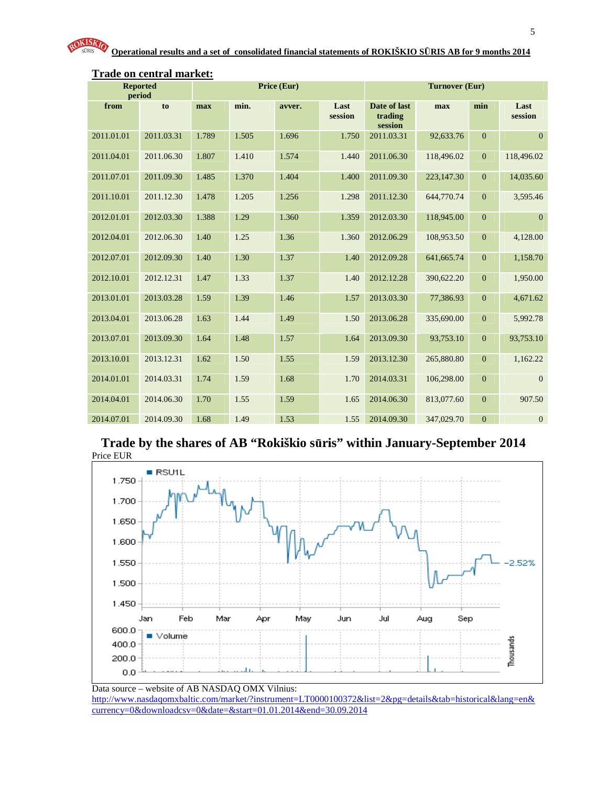| period     | <b>Reported</b> |       | Price (Eur) |        |                 |                                    | <b>Turnover (Eur)</b> |                |                 |
|------------|-----------------|-------|-------------|--------|-----------------|------------------------------------|-----------------------|----------------|-----------------|
| from       | to              | max   | min.        | avver. | Last<br>session | Date of last<br>trading<br>session | max                   | min            | Last<br>session |
| 2011.01.01 | 2011.03.31      | 1.789 | 1.505       | 1.696  | 1.750           | 2011.03.31                         | 92,633.76             | $\mathbf{0}$   | $\mathbf{0}$    |
| 2011.04.01 | 2011.06.30      | 1.807 | 1.410       | 1.574  | 1.440           | 2011.06.30                         | 118,496.02            | $\mathbf{0}$   | 118,496.02      |
| 2011.07.01 | 2011.09.30      | 1.485 | 1.370       | 1.404  | 1.400           | 2011.09.30                         | 223,147.30            | $\mathbf{0}$   | 14,035.60       |
| 2011.10.01 | 2011.12.30      | 1.478 | 1.205       | 1.256  | 1.298           | 2011.12.30                         | 644,770.74            | $\mathbf{0}$   | 3,595.46        |
| 2012.01.01 | 2012.03.30      | 1.388 | 1.29        | 1.360  | 1.359           | 2012.03.30                         | 118,945.00            | $\mathbf{0}$   | $\mathbf{0}$    |
| 2012.04.01 | 2012.06.30      | 1.40  | 1.25        | 1.36   | 1.360           | 2012.06.29                         | 108,953.50            | $\mathbf{0}$   | 4,128.00        |
| 2012.07.01 | 2012.09.30      | 1.40  | 1.30        | 1.37   | 1.40            | 2012.09.28                         | 641,665.74            | $\mathbf{0}$   | 1,158.70        |
| 2012.10.01 | 2012.12.31      | 1.47  | 1.33        | 1.37   | 1.40            | 2012.12.28                         | 390,622.20            | $\mathbf{0}$   | 1,950.00        |
| 2013.01.01 | 2013.03.28      | 1.59  | 1.39        | 1.46   | 1.57            | 2013.03.30                         | 77,386.93             | $\mathbf{0}$   | 4,671.62        |
| 2013.04.01 | 2013.06.28      | 1.63  | 1.44        | 1.49   | 1.50            | 2013.06.28                         | 335,690.00            | $\mathbf{0}$   | 5,992.78        |
| 2013.07.01 | 2013.09.30      | 1.64  | 1.48        | 1.57   | 1.64            | 2013.09.30                         | 93,753.10             | $\mathbf{0}$   | 93,753.10       |
| 2013.10.01 | 2013.12.31      | 1.62  | 1.50        | 1.55   | 1.59            | 2013.12.30                         | 265,880.80            | $\mathbf{0}$   | 1,162.22        |
| 2014.01.01 | 2014.03.31      | 1.74  | 1.59        | 1.68   | 1.70            | 2014.03.31                         | 106,298.00            | $\mathbf{0}$   | $\overline{0}$  |
| 2014.04.01 | 2014.06.30      | 1.70  | 1.55        | 1.59   | 1.65            | 2014.06.30                         | 813,077.60            | $\mathbf{0}$   | 907.50          |
| 2014.07.01 | 2014.09.30      | 1.68  | 1.49        | 1.53   | 1.55            | 2014.09.30                         | 347,029.70            | $\overline{0}$ | $\overline{0}$  |

#### **Trade on central market:**

#### **Trade by the shares of AB "Rokiškio s**ū**ris" within January-September 2014**  Price EUR



Data source – website of AB NASDAQ OMX Vilnius: http://www.nasdaqomxbaltic.com/market/?instrument=LT0000100372&list=2&pg=details&tab=historical&lang=en& currency=0&downloadcsv=0&date=&start=01.01.2014&end=30.09.2014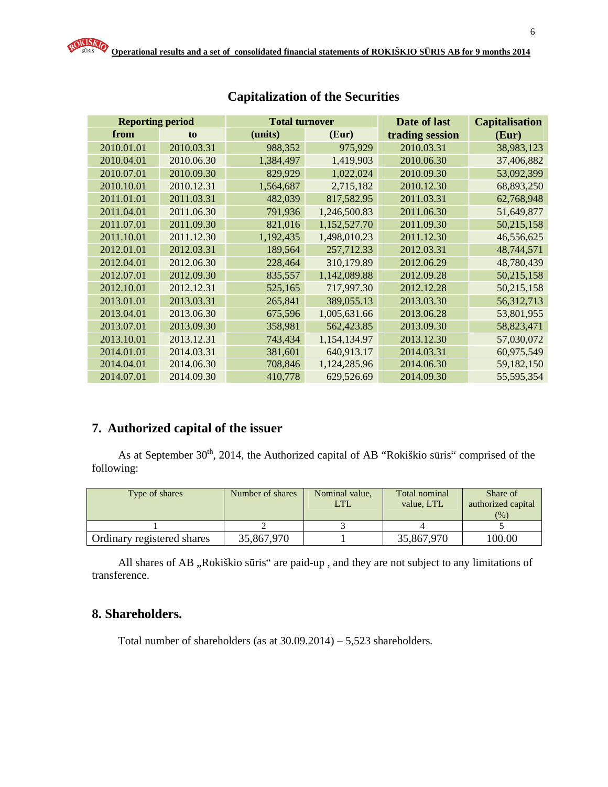| <b>Reporting period</b> |            | <b>Total turnover</b> |              | Date of last    | <b>Capitalisation</b> |
|-------------------------|------------|-----------------------|--------------|-----------------|-----------------------|
| from                    | to         | (units)               | (Eur)        | trading session | (Eur)                 |
| 2010.01.01              | 2010.03.31 | 988,352               | 975,929      | 2010.03.31      | 38,983,123            |
| 2010.04.01              | 2010.06.30 | 1,384,497             | 1,419,903    | 2010.06.30      | 37,406,882            |
| 2010.07.01              | 2010.09.30 | 829,929               | 1,022,024    | 2010.09.30      | 53,092,399            |
| 2010.10.01              | 2010.12.31 | 1,564,687             | 2,715,182    | 2010.12.30      | 68,893,250            |
| 2011.01.01              | 2011.03.31 | 482,039               | 817,582.95   | 2011.03.31      | 62,768,948            |
| 2011.04.01              | 2011.06.30 | 791,936               | 1,246,500.83 | 2011.06.30      | 51,649,877            |
| 2011.07.01              | 2011.09.30 | 821,016               | 1,152,527.70 | 2011.09.30      | 50,215,158            |
| 2011.10.01              | 2011.12.30 | 1,192,435             | 1,498,010.23 | 2011.12.30      | 46,556,625            |
| 2012.01.01              | 2012.03.31 | 189,564               | 257,712.33   | 2012.03.31      | 48,744,571            |
| 2012.04.01              | 2012.06.30 | 228,464               | 310,179.89   | 2012.06.29      | 48,780,439            |
| 2012.07.01              | 2012.09.30 | 835,557               | 1,142,089.88 | 2012.09.28      | 50,215,158            |
| 2012.10.01              | 2012.12.31 | 525,165               | 717,997.30   | 2012.12.28      | 50,215,158            |
| 2013.01.01              | 2013.03.31 | 265,841               | 389,055.13   | 2013.03.30      | 56,312,713            |
| 2013.04.01              | 2013.06.30 | 675,596               | 1,005,631.66 | 2013.06.28      | 53,801,955            |
| 2013.07.01              | 2013.09.30 | 358,981               | 562,423.85   | 2013.09.30      | 58,823,471            |
| 2013.10.01              | 2013.12.31 | 743,434               | 1,154,134.97 | 2013.12.30      | 57,030,072            |
| 2014.01.01              | 2014.03.31 | 381,601               | 640,913.17   | 2014.03.31      | 60,975,549            |
| 2014.04.01              | 2014.06.30 | 708,846               | 1,124,285.96 | 2014.06.30      | 59,182,150            |
| 2014.07.01              | 2014.09.30 | 410,778               | 629,526.69   | 2014.09.30      | 55,595,354            |

## **Capitalization of the Securities**

# **7. Authorized capital of the issuer**

As at September  $30<sup>th</sup>$ , 2014, the Authorized capital of AB "Rokiškio sūris" comprised of the following:

| Type of shares             | Number of shares | Nominal value,<br>LTL | Total nominal<br>value. LTL | Share of<br>authorized capital<br>(%) |
|----------------------------|------------------|-----------------------|-----------------------------|---------------------------------------|
|                            |                  |                       |                             |                                       |
| Ordinary registered shares | 35,867,970       |                       | 35,867,970                  | 100.00                                |

All shares of AB ,,Rokiškio sūris" are paid-up, and they are not subject to any limitations of transference.

### **8. Shareholders.**

Total number of shareholders (as at 30.09.2014) – 5,523 shareholders.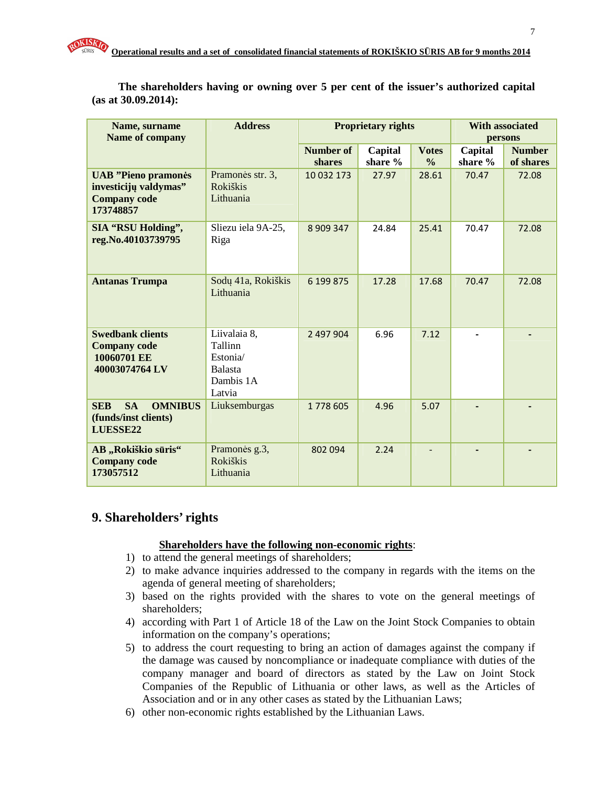| Name, surname<br>Name of company                                                        | <b>Address</b>                                                               |                     | <b>Proprietary rights</b> | <b>With associated</b><br>persons |                          |                            |
|-----------------------------------------------------------------------------------------|------------------------------------------------------------------------------|---------------------|---------------------------|-----------------------------------|--------------------------|----------------------------|
|                                                                                         |                                                                              | Number of<br>shares | Capital<br>share %        | <b>Votes</b><br>$\frac{0}{0}$     | Capital<br>share $%$     | <b>Number</b><br>of shares |
| <b>UAB</b> "Pieno pramonės<br>investicijų valdymas"<br><b>Company code</b><br>173748857 | Pramonės str. 3,<br><b>Rokiškis</b><br>Lithuania                             | 10 032 173          | 27.97                     | 28.61                             | 70.47                    | 72.08                      |
| <b>SIA "RSU Holding",</b><br>reg.No.40103739795                                         | Sliezu iela 9A-25,<br>Riga                                                   | 8 909 347           | 24.84                     | 25.41                             | 70.47                    | 72.08                      |
| <b>Antanas Trumpa</b>                                                                   | Sodų 41a, Rokiškis<br>Lithuania                                              | 6 199 875           | 17.28                     | 17.68                             | 70.47                    | 72.08                      |
| <b>Swedbank clients</b><br><b>Company code</b><br>10060701 EE<br>40003074764 LV         | Liivalaia 8,<br>Tallinn<br>Estonia/<br><b>Balasta</b><br>Dambis 1A<br>Latvia | 2 497 904           | 6.96                      | 7.12                              | $\overline{\phantom{a}}$ |                            |
| <b>SA</b><br><b>SEB</b><br><b>OMNIBUS</b><br>(funds/inst clients)<br>LUESSE22           | Liuksemburgas                                                                | 1778 605            | 4.96                      | 5.07                              |                          |                            |
| AB "Rokiškio sūris"<br><b>Company code</b><br>173057512                                 | Pramonės g.3,<br><b>Rokiškis</b><br>Lithuania                                | 802 094             | 2.24                      |                                   |                          |                            |

**The shareholders having or owning over 5 per cent of the issuer's authorized capital (as at 30.09.2014):** 

### **9. Shareholders' rights**

#### **Shareholders have the following non-economic rights**:

- 1) to attend the general meetings of shareholders;
- 2) to make advance inquiries addressed to the company in regards with the items on the agenda of general meeting of shareholders;
- 3) based on the rights provided with the shares to vote on the general meetings of shareholders;
- 4) according with Part 1 of Article 18 of the Law on the Joint Stock Companies to obtain information on the company's operations;
- 5) to address the court requesting to bring an action of damages against the company if the damage was caused by noncompliance or inadequate compliance with duties of the company manager and board of directors as stated by the Law on Joint Stock Companies of the Republic of Lithuania or other laws, as well as the Articles of Association and or in any other cases as stated by the Lithuanian Laws;
- 6) other non-economic rights established by the Lithuanian Laws.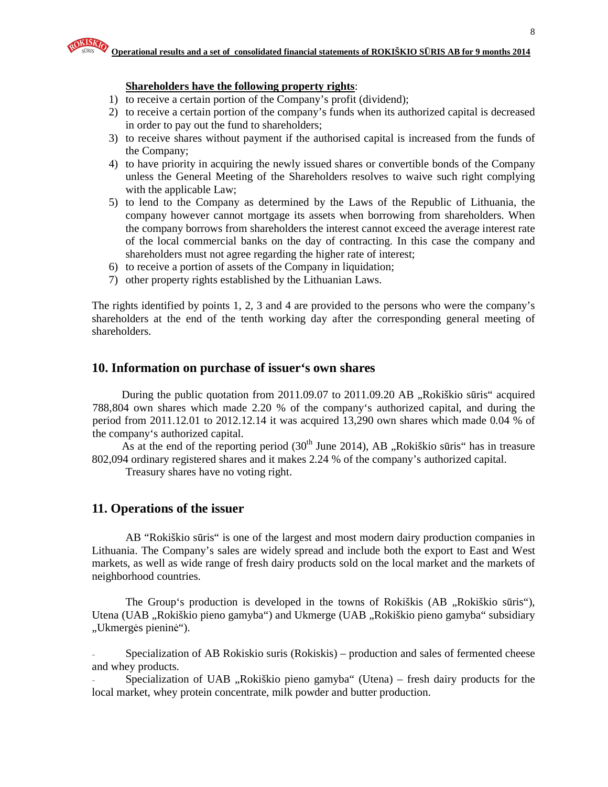#### **Shareholders have the following property rights**:

- 1) to receive a certain portion of the Company's profit (dividend);
- 2) to receive a certain portion of the company's funds when its authorized capital is decreased in order to pay out the fund to shareholders;
- 3) to receive shares without payment if the authorised capital is increased from the funds of the Company;
- 4) to have priority in acquiring the newly issued shares or convertible bonds of the Company unless the General Meeting of the Shareholders resolves to waive such right complying with the applicable Law;
- 5) to lend to the Company as determined by the Laws of the Republic of Lithuania, the company however cannot mortgage its assets when borrowing from shareholders. When the company borrows from shareholders the interest cannot exceed the average interest rate of the local commercial banks on the day of contracting. In this case the company and shareholders must not agree regarding the higher rate of interest;
- 6) to receive a portion of assets of the Company in liquidation;
- 7) other property rights established by the Lithuanian Laws.

The rights identified by points 1, 2, 3 and 4 are provided to the persons who were the company's shareholders at the end of the tenth working day after the corresponding general meeting of shareholders.

#### **10. Information on purchase of issuer's own shares**

During the public quotation from  $2011.09.07$  to  $2011.09.20$  AB  $,$ Rokiškio sūris" acquired 788,804 own shares which made 2.20 % of the company's authorized capital, and during the period from 2011.12.01 to 2012.12.14 it was acquired 13,290 own shares which made 0.04 % of the company's authorized capital.

As at the end of the reporting period  $(30<sup>th</sup>$  June 2014), AB "Rokiškio sūris" has in treasure 802,094 ordinary registered shares and it makes 2.24 % of the company's authorized capital.

Treasury shares have no voting right.

#### **11. Operations of the issuer**

AB "Rokiškio sūris" is one of the largest and most modern dairy production companies in Lithuania. The Company's sales are widely spread and include both the export to East and West markets, as well as wide range of fresh dairy products sold on the local market and the markets of neighborhood countries.

The Group's production is developed in the towns of Rokiškis (AB , Rokiškio sūris"), Utena (UAB "Rokiškio pieno gamyba") and Ukmerge (UAB "Rokiškio pieno gamyba" subsidiary "Ukmergės pieninė").

- Specialization of AB Rokiskio suris (Rokiskis) – production and sales of fermented cheese and whey products.

Specialization of UAB  $\alpha$ Rokiškio pieno gamyba" (Utena) – fresh dairy products for the local market, whey protein concentrate, milk powder and butter production.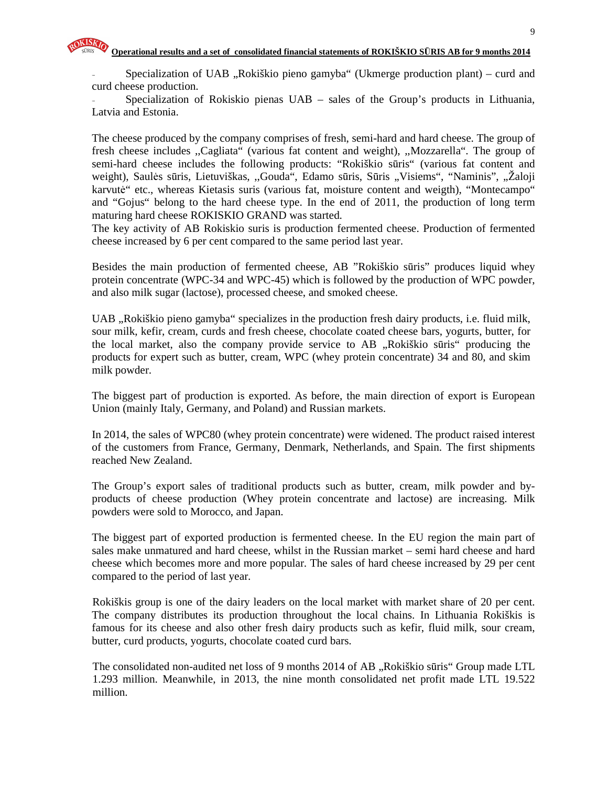Specialization of UAB "Rokiškio pieno gamyba" (Ukmerge production plant) – curd and curd cheese production.

Specialization of Rokiskio pienas UAB – sales of the Group's products in Lithuania, Latvia and Estonia.

The cheese produced by the company comprises of fresh, semi-hard and hard cheese. The group of fresh cheese includes ,,Cagliata" (various fat content and weight), ,,Mozzarella". The group of semi-hard cheese includes the following products: "Rokiškio sūris" (various fat content and weight), Saulės sūris, Lietuviškas, "Gouda", Edamo sūris, Sūris "Visiems", "Naminis", "Žaloji karvutė" etc., whereas Kietasis suris (various fat, moisture content and weigth), "Montecampo" and "Gojus" belong to the hard cheese type. In the end of 2011, the production of long term maturing hard cheese ROKISKIO GRAND was started.

The key activity of AB Rokiskio suris is production fermented cheese. Production of fermented cheese increased by 6 per cent compared to the same period last year.

Besides the main production of fermented cheese, AB "Rokiškio sūris" produces liquid whey protein concentrate (WPC-34 and WPC-45) which is followed by the production of WPC powder, and also milk sugar (lactose), processed cheese, and smoked cheese.

UAB "Rokiškio pieno gamyba" specializes in the production fresh dairy products, i.e. fluid milk, sour milk, kefir, cream, curds and fresh cheese, chocolate coated cheese bars, yogurts, butter, for the local market, also the company provide service to AB "Rokiškio sūris" producing the products for expert such as butter, cream, WPC (whey protein concentrate) 34 and 80, and skim milk powder.

The biggest part of production is exported. As before, the main direction of export is European Union (mainly Italy, Germany, and Poland) and Russian markets.

In 2014, the sales of WPC80 (whey protein concentrate) were widened. The product raised interest of the customers from France, Germany, Denmark, Netherlands, and Spain. The first shipments reached New Zealand.

The Group's export sales of traditional products such as butter, cream, milk powder and byproducts of cheese production (Whey protein concentrate and lactose) are increasing. Milk powders were sold to Morocco, and Japan.

The biggest part of exported production is fermented cheese. In the EU region the main part of sales make unmatured and hard cheese, whilst in the Russian market – semi hard cheese and hard cheese which becomes more and more popular. The sales of hard cheese increased by 29 per cent compared to the period of last year.

Rokiškis group is one of the dairy leaders on the local market with market share of 20 per cent. The company distributes its production throughout the local chains. In Lithuania Rokiškis is famous for its cheese and also other fresh dairy products such as kefir, fluid milk, sour cream, butter, curd products, yogurts, chocolate coated curd bars.

The consolidated non-audited net loss of 9 months 2014 of AB "Rokiškio sūris" Group made LTL 1.293 million. Meanwhile, in 2013, the nine month consolidated net profit made LTL 19.522 million.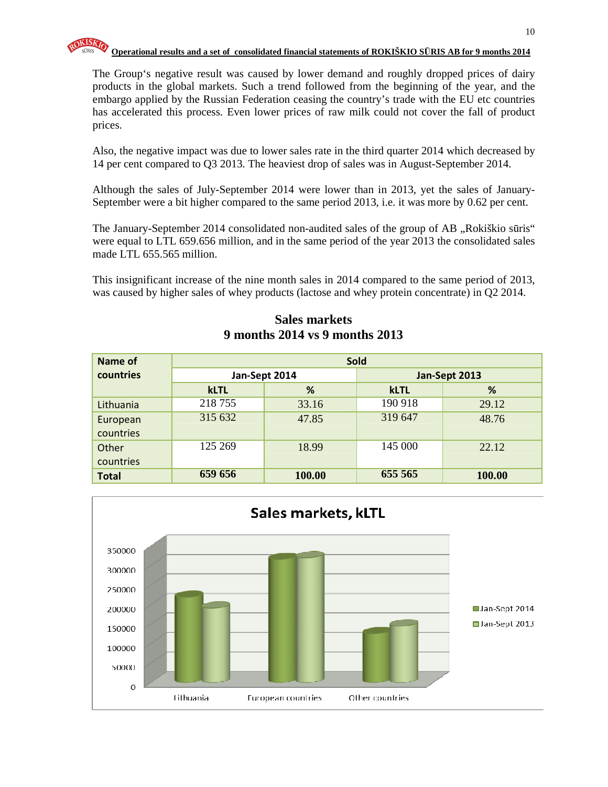

The Group's negative result was caused by lower demand and roughly dropped prices of dairy products in the global markets. Such a trend followed from the beginning of the year, and the embargo applied by the Russian Federation ceasing the country's trade with the EU etc countries has accelerated this process. Even lower prices of raw milk could not cover the fall of product prices.

Also, the negative impact was due to lower sales rate in the third quarter 2014 which decreased by 14 per cent compared to Q3 2013. The heaviest drop of sales was in August-September 2014.

Although the sales of July-September 2014 were lower than in 2013, yet the sales of January-September were a bit higher compared to the same period 2013, i.e. it was more by 0.62 per cent.

The January-September 2014 consolidated non-audited sales of the group of AB, Rokiškio sūris" were equal to LTL 659.656 million, and in the same period of the year 2013 the consolidated sales made LTL 655.565 million.

This insignificant increase of the nine month sales in 2014 compared to the same period of 2013, was caused by higher sales of whey products (lactose and whey protein concentrate) in Q2 2014.

| Name of      | <b>Sold</b>   |        |               |        |  |  |  |
|--------------|---------------|--------|---------------|--------|--|--|--|
| countries    | Jan-Sept 2014 |        | Jan-Sept 2013 |        |  |  |  |
|              | <b>kLTL</b>   | %      | <b>kLTL</b>   | %      |  |  |  |
| Lithuania    | 218755        | 33.16  | 190 918       | 29.12  |  |  |  |
| European     | 315 632       | 47.85  | 319 647       | 48.76  |  |  |  |
| countries    |               |        |               |        |  |  |  |
| Other        | 125 269       | 18.99  | 145 000       | 22.12  |  |  |  |
| countries    |               |        |               |        |  |  |  |
| <b>Total</b> | 659 656       | 100.00 | 655 565       | 100.00 |  |  |  |

**Sales markets 9 months 2014 vs 9 months 2013** 

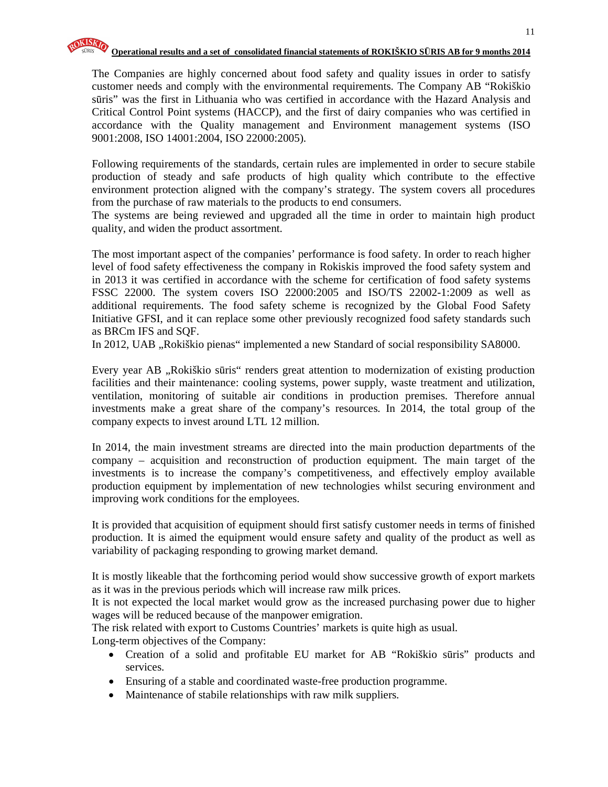The Companies are highly concerned about food safety and quality issues in order to satisfy customer needs and comply with the environmental requirements. The Company AB "Rokiškio sūris" was the first in Lithuania who was certified in accordance with the Hazard Analysis and Critical Control Point systems (HACCP), and the first of dairy companies who was certified in accordance with the Quality management and Environment management systems (ISO 9001:2008, ISO 14001:2004, ISO 22000:2005).

Following requirements of the standards, certain rules are implemented in order to secure stabile production of steady and safe products of high quality which contribute to the effective environment protection aligned with the company's strategy. The system covers all procedures from the purchase of raw materials to the products to end consumers.

The systems are being reviewed and upgraded all the time in order to maintain high product quality, and widen the product assortment.

The most important aspect of the companies' performance is food safety. In order to reach higher level of food safety effectiveness the company in Rokiskis improved the food safety system and in 2013 it was certified in accordance with the scheme for certification of food safety systems FSSC 22000. The system covers ISO 22000:2005 and ISO/TS 22002-1:2009 as well as additional requirements. The food safety scheme is recognized by the Global Food Safety Initiative GFSI, and it can replace some other previously recognized food safety standards such as BRCm IFS and SQF.

In 2012, UAB "Rokiškio pienas" implemented a new Standard of social responsibility SA8000.

Every year AB "Rokiškio sūris" renders great attention to modernization of existing production facilities and their maintenance: cooling systems, power supply, waste treatment and utilization, ventilation, monitoring of suitable air conditions in production premises. Therefore annual investments make a great share of the company's resources. In 2014, the total group of the company expects to invest around LTL 12 million.

In 2014, the main investment streams are directed into the main production departments of the company – acquisition and reconstruction of production equipment. The main target of the investments is to increase the company's competitiveness, and effectively employ available production equipment by implementation of new technologies whilst securing environment and improving work conditions for the employees.

It is provided that acquisition of equipment should first satisfy customer needs in terms of finished production. It is aimed the equipment would ensure safety and quality of the product as well as variability of packaging responding to growing market demand.

It is mostly likeable that the forthcoming period would show successive growth of export markets as it was in the previous periods which will increase raw milk prices.

It is not expected the local market would grow as the increased purchasing power due to higher wages will be reduced because of the manpower emigration.

The risk related with export to Customs Countries' markets is quite high as usual.

Long-term objectives of the Company:

- Creation of a solid and profitable EU market for AB "Rokiškio sūris" products and services.
- Ensuring of a stable and coordinated waste-free production programme.
- Maintenance of stabile relationships with raw milk suppliers.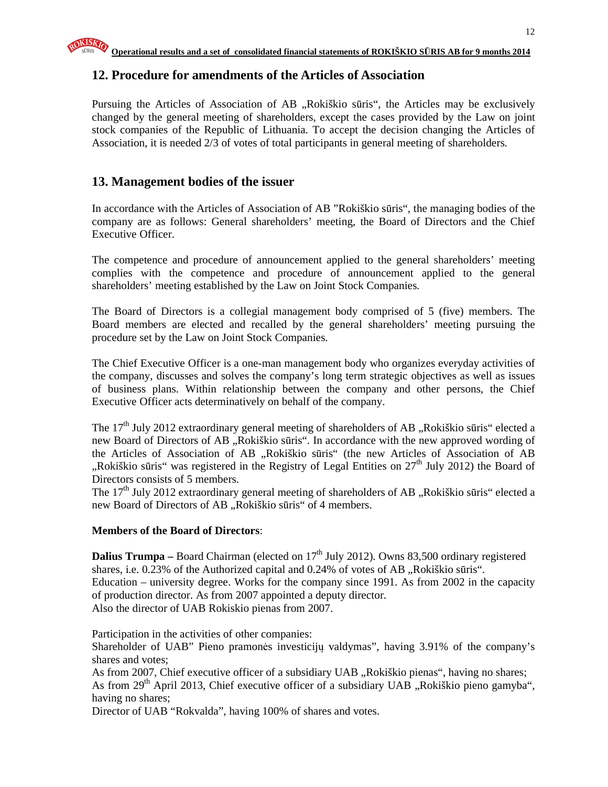### **12. Procedure for amendments of the Articles of Association**

Pursuing the Articles of Association of AB "Rokiškio sūris", the Articles may be exclusively changed by the general meeting of shareholders, except the cases provided by the Law on joint stock companies of the Republic of Lithuania. To accept the decision changing the Articles of Association, it is needed 2/3 of votes of total participants in general meeting of shareholders.

### **13. Management bodies of the issuer**

In accordance with the Articles of Association of AB "Rokiškio sūris", the managing bodies of the company are as follows: General shareholders' meeting, the Board of Directors and the Chief Executive Officer.

The competence and procedure of announcement applied to the general shareholders' meeting complies with the competence and procedure of announcement applied to the general shareholders' meeting established by the Law on Joint Stock Companies.

The Board of Directors is a collegial management body comprised of 5 (five) members. The Board members are elected and recalled by the general shareholders' meeting pursuing the procedure set by the Law on Joint Stock Companies.

The Chief Executive Officer is a one-man management body who organizes everyday activities of the company, discusses and solves the company's long term strategic objectives as well as issues of business plans. Within relationship between the company and other persons, the Chief Executive Officer acts determinatively on behalf of the company.

The 17<sup>th</sup> July 2012 extraordinary general meeting of shareholders of AB "Rokiškio sūris" elected a new Board of Directors of AB "Rokiškio sūris". In accordance with the new approved wording of the Articles of Association of AB "Rokiškio sūris" (the new Articles of Association of AB ",Rokiškio sūris" was registered in the Registry of Legal Entities on  $27<sup>th</sup>$  July 2012) the Board of Directors consists of 5 members.

The  $17<sup>th</sup>$  July 2012 extraordinary general meeting of shareholders of AB "Rokiškio sūris" elected a new Board of Directors of AB "Rokiškio sūris" of 4 members.

#### **Members of the Board of Directors**:

**Dalius Trumpa** – Board Chairman (elected on 17<sup>th</sup> July 2012). Owns 83,500 ordinary registered shares, i.e. 0.23% of the Authorized capital and 0.24% of votes of AB "Rokiškio sūris". Education – university degree. Works for the company since 1991. As from 2002 in the capacity of production director. As from 2007 appointed a deputy director. Also the director of UAB Rokiskio pienas from 2007.

Participation in the activities of other companies:

Shareholder of UAB" Pieno pramonės investicijų valdymas", having 3.91% of the company's shares and votes;

As from 2007, Chief executive officer of a subsidiary UAB "Rokiškio pienas", having no shares; As from  $29<sup>th</sup>$  April 2013, Chief executive officer of a subsidiary UAB  $nR$ , Rokiškio pieno gamyba", having no shares;

Director of UAB "Rokvalda", having 100% of shares and votes.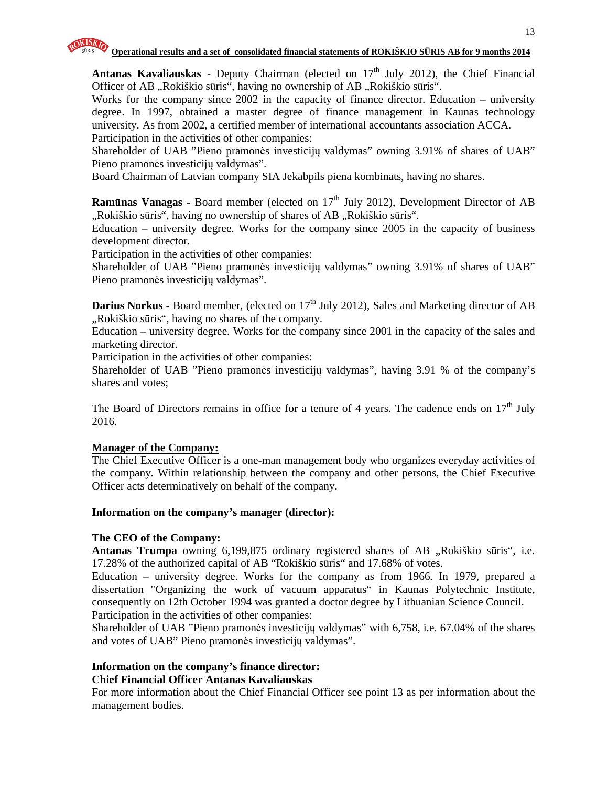

Antanas Kavaliauskas - Deputy Chairman (elected on 17<sup>th</sup> July 2012), the Chief Financial Officer of AB "Rokiškio sūris", having no ownership of AB "Rokiškio sūris".

Works for the company since 2002 in the capacity of finance director. Education – university degree. In 1997, obtained a master degree of finance management in Kaunas technology university. As from 2002, a certified member of international accountants association ACCA. Participation in the activities of other companies:

Shareholder of UAB "Pieno pramonės investicijų valdymas" owning 3.91% of shares of UAB" Pieno pramonės investicijų valdymas".

Board Chairman of Latvian company SIA Jekabpils piena kombinats, having no shares.

**Ramūnas Vanagas -** Board member (elected on 17<sup>th</sup> July 2012), Development Director of AB "Rokiškio sūris", having no ownership of shares of AB "Rokiškio sūris".

Education – university degree. Works for the company since 2005 in the capacity of business development director.

Participation in the activities of other companies:

Shareholder of UAB "Pieno pramonės investicijų valdymas" owning 3.91% of shares of UAB" Pieno pramonės investicijų valdymas".

Darius Norkus - Board member, (elected on 17<sup>th</sup> July 2012), Sales and Marketing director of AB "Rokiškio sūris", having no shares of the company.

Education – university degree. Works for the company since 2001 in the capacity of the sales and marketing director.

Participation in the activities of other companies:

Shareholder of UAB "Pieno pramonės investicijų valdymas", having 3.91 % of the company's shares and votes;

The Board of Directors remains in office for a tenure of 4 years. The cadence ends on  $17<sup>th</sup>$  July 2016.

#### **Manager of the Company:**

The Chief Executive Officer is a one-man management body who organizes everyday activities of the company. Within relationship between the company and other persons, the Chief Executive Officer acts determinatively on behalf of the company.

#### **Information on the company's manager (director):**

#### **The CEO of the Company:**

**Antanas Trumpa** owning 6,199,875 ordinary registered shares of AB "Rokiškio sūris", i.e. 17.28% of the authorized capital of AB "Rokiškio sūris" and 17.68% of votes.

Education – university degree. Works for the company as from 1966. In 1979, prepared a dissertation "Organizing the work of vacuum apparatus" in Kaunas Polytechnic Institute, consequently on 12th October 1994 was granted a doctor degree by Lithuanian Science Council. Participation in the activities of other companies:

Shareholder of UAB "Pieno pramonės investicijų valdymas" with 6,758, i.e. 67.04% of the shares and votes of UAB" Pieno pramonės investicijų valdymas".

#### **Information on the company's finance director: Chief Financial Officer Antanas Kavaliauskas**

For more information about the Chief Financial Officer see point 13 as per information about the management bodies.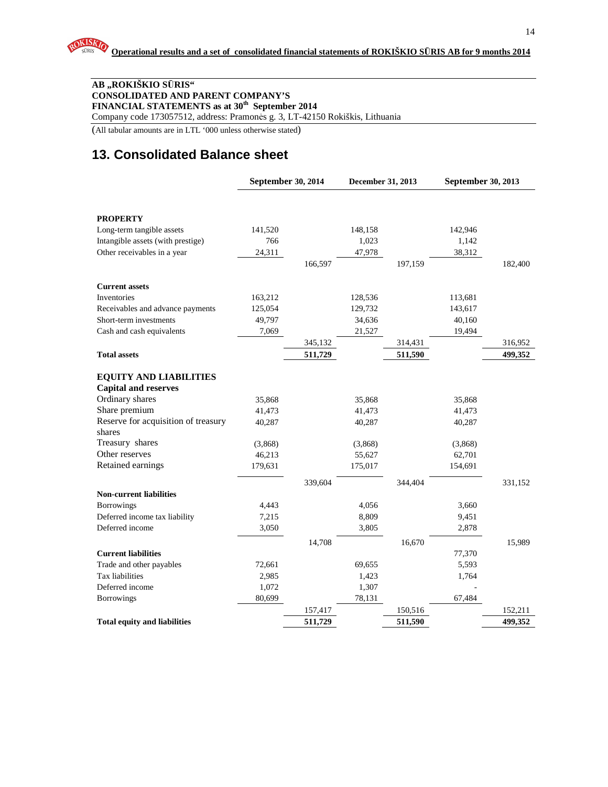#### **AB "ROKIŠKIO S**Ū**RIS" CONSOLIDATED AND PARENT COMPANY'S FINANCIAL STATEMENTS as at 30th September 2014**

Company code 173057512, address: Pramonės g. 3, LT-42150 Rokiškis, Lithuania

(All tabular amounts are in LTL '000 unless otherwise stated)

# **13. Consolidated Balance sheet**

|                                                | September 30, 2014 |         | December 31, 2013 |         | September 30, 2013 |         |
|------------------------------------------------|--------------------|---------|-------------------|---------|--------------------|---------|
|                                                |                    |         |                   |         |                    |         |
| <b>PROPERTY</b>                                |                    |         |                   |         |                    |         |
| Long-term tangible assets                      | 141,520            |         | 148,158           |         | 142,946            |         |
| Intangible assets (with prestige)              | 766                |         | 1,023             |         | 1,142              |         |
| Other receivables in a year                    | 24,311             |         | 47,978            |         | 38,312             |         |
|                                                |                    | 166,597 |                   | 197,159 |                    | 182,400 |
| <b>Current assets</b>                          |                    |         |                   |         |                    |         |
| Inventories                                    | 163,212            |         | 128,536           |         | 113,681            |         |
| Receivables and advance payments               | 125,054            |         | 129,732           |         | 143,617            |         |
| Short-term investments                         | 49,797             |         | 34,636            |         | 40,160             |         |
| Cash and cash equivalents                      | 7,069              |         | 21,527            |         | 19,494             |         |
|                                                |                    | 345,132 |                   | 314,431 |                    | 316,952 |
| <b>Total assets</b>                            |                    | 511,729 |                   | 511,590 |                    | 499,352 |
|                                                |                    |         |                   |         |                    |         |
| <b>EQUITY AND LIABILITIES</b>                  |                    |         |                   |         |                    |         |
| <b>Capital and reserves</b><br>Ordinary shares |                    |         |                   |         |                    |         |
| Share premium                                  | 35,868             |         | 35,868            |         | 35,868             |         |
| Reserve for acquisition of treasury            | 41,473             |         | 41,473            |         | 41,473             |         |
| shares                                         | 40,287             |         | 40,287            |         | 40,287             |         |
| Treasury shares                                | (3,868)            |         | (3,868)           |         | (3,868)            |         |
| Other reserves                                 | 46,213             |         | 55,627            |         | 62,701             |         |
| Retained earnings                              | 179,631            |         | 175,017           |         | 154,691            |         |
|                                                |                    | 339,604 |                   | 344,404 |                    | 331,152 |
| <b>Non-current liabilities</b>                 |                    |         |                   |         |                    |         |
| <b>Borrowings</b>                              | 4,443              |         | 4,056             |         | 3,660              |         |
| Deferred income tax liability                  | 7,215              |         | 8,809             |         | 9,451              |         |
| Deferred income                                | 3,050              |         | 3,805             |         | 2,878              |         |
|                                                |                    | 14,708  |                   | 16,670  |                    | 15,989  |
| <b>Current liabilities</b>                     |                    |         |                   |         | 77,370             |         |
| Trade and other payables                       | 72,661             |         | 69,655            |         | 5,593              |         |
| Tax liabilities                                | 2,985              |         | 1,423             |         | 1,764              |         |
| Deferred income                                | 1,072              |         | 1,307             |         |                    |         |
| <b>Borrowings</b>                              | 80,699             |         | 78,131            |         | 67,484             |         |
|                                                |                    | 157,417 |                   | 150,516 |                    | 152,211 |
| <b>Total equity and liabilities</b>            |                    | 511,729 |                   | 511,590 |                    | 499,352 |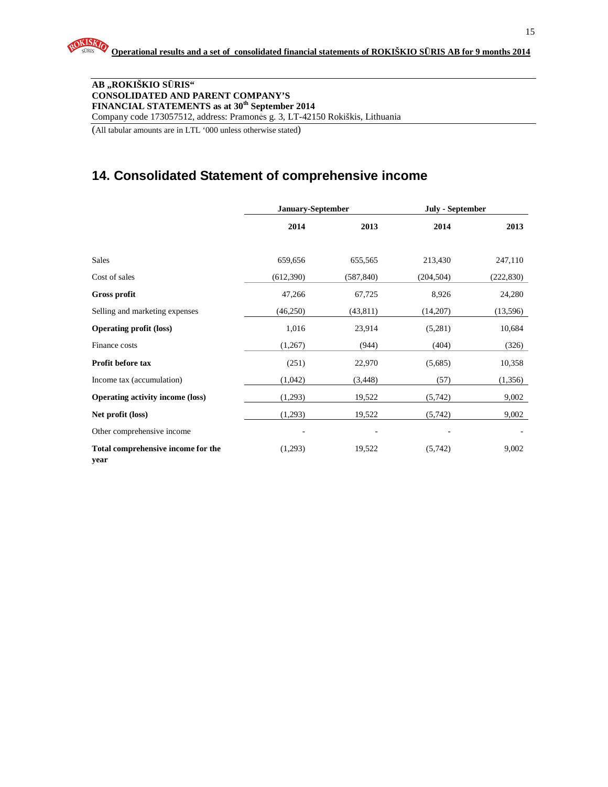#### **AB "ROKIŠKIO S**Ū**RIS" CONSOLIDATED AND PARENT COMPANY'S FINANCIAL STATEMENTS as at 30th September 2014**  Company code 173057512, address: Pramonės g. 3, LT-42150 Rokiškis, Lithuania

(All tabular amounts are in LTL '000 unless otherwise stated)

## **14. Consolidated Statement of comprehensive income**

|                                            | January-September |            | <b>July - September</b> |            |
|--------------------------------------------|-------------------|------------|-------------------------|------------|
|                                            | 2014              | 2013       | 2014                    | 2013       |
|                                            |                   |            |                         |            |
| Sales                                      | 659,656           | 655,565    | 213,430                 | 247,110    |
| Cost of sales                              | (612,390)         | (587, 840) | (204, 504)              | (222, 830) |
| <b>Gross profit</b>                        | 47,266            | 67,725     | 8,926                   | 24,280     |
| Selling and marketing expenses             | (46,250)          | (43, 811)  | (14,207)                | (13,596)   |
| <b>Operating profit (loss)</b>             | 1,016             | 23,914     | (5,281)                 | 10,684     |
| Finance costs                              | (1,267)           | (944)      | (404)                   | (326)      |
| Profit before tax                          | (251)             | 22,970     | (5,685)                 | 10,358     |
| Income tax (accumulation)                  | (1,042)           | (3, 448)   | (57)                    | (1,356)    |
| <b>Operating activity income (loss)</b>    | (1,293)           | 19,522     | (5,742)                 | 9,002      |
| Net profit (loss)                          | (1,293)           | 19,522     | (5,742)                 | 9,002      |
| Other comprehensive income                 |                   |            |                         |            |
| Total comprehensive income for the<br>year | (1,293)           | 19,522     | (5,742)                 | 9,002      |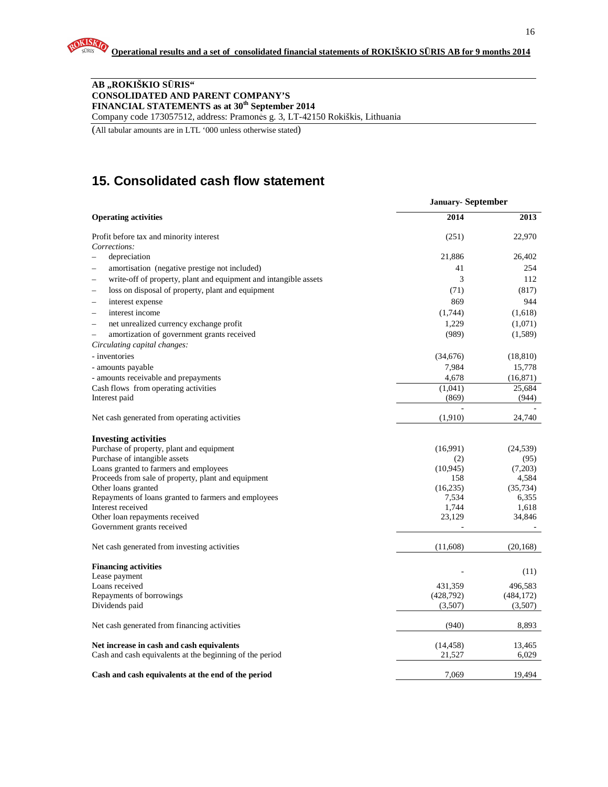#### **AB "ROKIŠKIO S**Ū**RIS" CONSOLIDATED AND PARENT COMPANY'S FINANCIAL STATEMENTS as at 30th September 2014** Company code 173057512, address: Pramonės g. 3, LT-42150 Rokiškis, Lithuania

(All tabular amounts are in LTL '000 unless otherwise stated)

# **15. Consolidated cash flow statement**

|                                                                               | <b>January-September</b> |            |
|-------------------------------------------------------------------------------|--------------------------|------------|
| <b>Operating activities</b>                                                   | 2014                     | 2013       |
| Profit before tax and minority interest                                       | (251)                    | 22,970     |
| Corrections:                                                                  |                          |            |
| depreciation                                                                  | 21,886                   | 26,402     |
| amortisation (negative prestige not included)                                 | 41                       | 254        |
| write-off of property, plant and equipment and intangible assets              | 3                        | 112        |
| loss on disposal of property, plant and equipment<br>$\overline{\phantom{0}}$ | (71)                     | (817)      |
| interest expense<br>$\overline{\phantom{0}}$                                  | 869                      | 944        |
| interest income<br>$\overline{\phantom{0}}$                                   | (1,744)                  | (1,618)    |
| net unrealized currency exchange profit<br>$\overline{\phantom{0}}$           | 1,229                    | (1,071)    |
| amortization of government grants received<br>$\overline{\phantom{0}}$        | (989)                    | (1,589)    |
| Circulating capital changes:                                                  |                          |            |
| - inventories                                                                 | (34,676)                 | (18, 810)  |
| - amounts payable                                                             | 7,984                    | 15,778     |
| - amounts receivable and prepayments                                          | 4,678                    | (16, 871)  |
| Cash flows from operating activities                                          | (1,041)                  | 25.684     |
| Interest paid                                                                 | (869)                    | (944)      |
| Net cash generated from operating activities                                  | (1,910)                  | 24,740     |
| <b>Investing activities</b>                                                   |                          |            |
| Purchase of property, plant and equipment                                     | (16,991)                 | (24, 539)  |
| Purchase of intangible assets                                                 | (2)                      | (95)       |
| Loans granted to farmers and employees                                        | (10, 945)                | (7,203)    |
| Proceeds from sale of property, plant and equipment                           | 158                      | 4,584      |
| Other loans granted                                                           | (16,235)                 | (35, 734)  |
| Repayments of loans granted to farmers and employees                          | 7,534                    | 6,355      |
| Interest received                                                             | 1,744                    | 1,618      |
| Other loan repayments received<br>Government grants received                  | 23,129                   | 34,846     |
| Net cash generated from investing activities                                  | (11,608)                 | (20, 168)  |
|                                                                               |                          |            |
| <b>Financing activities</b>                                                   |                          |            |
| Lease payment                                                                 |                          | (11)       |
| Loans received                                                                | 431,359                  | 496,583    |
| Repayments of borrowings                                                      | (428, 792)               | (484, 172) |
| Dividends paid                                                                | (3,507)                  | (3,507)    |
| Net cash generated from financing activities                                  | (940)                    | 8,893      |
| Net increase in cash and cash equivalents                                     | (14, 458)                | 13,465     |
| Cash and cash equivalents at the beginning of the period                      | 21,527                   | 6,029      |
| Cash and cash equivalents at the end of the period                            | 7.069                    | 19.494     |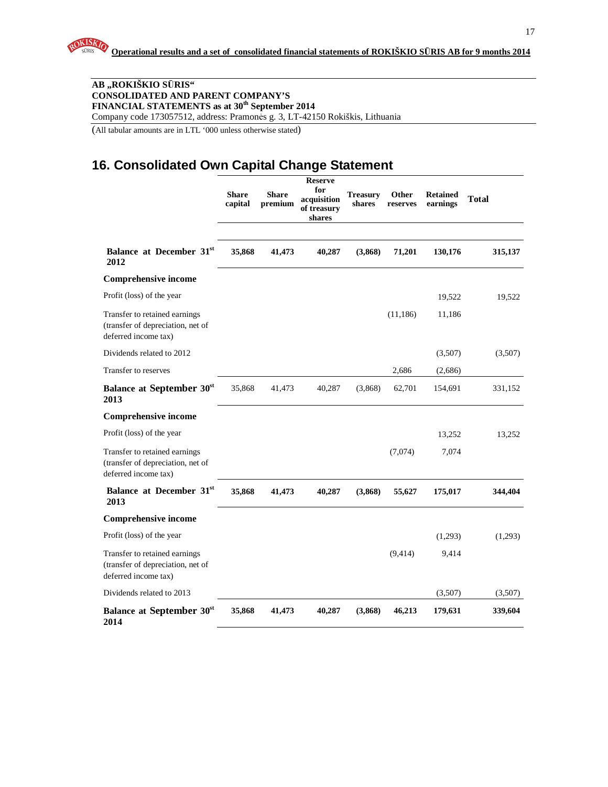#### **AB "ROKIŠKIO S**Ū**RIS" CONSOLIDATED AND PARENT COMPANY'S FINANCIAL STATEMENTS as at 30th September 2014**  Company code 173057512, address: Pramonės g. 3, LT-42150 Rokiškis, Lithuania

(All tabular amounts are in LTL '000 unless otherwise stated)

# **16. Consolidated Own Capital Change Statement**

|                                                                                            | <b>Share</b><br>capital | <b>Share</b><br>premium | <b>Reserve</b><br>for<br>acquisition<br>of treasury<br>shares | <b>Treasury</b><br>shares | Other<br>reserves | <b>Retained</b><br>earnings | <b>Total</b> |
|--------------------------------------------------------------------------------------------|-------------------------|-------------------------|---------------------------------------------------------------|---------------------------|-------------------|-----------------------------|--------------|
| Balance at December 31 <sup>st</sup><br>2012                                               | 35,868                  | 41,473                  | 40,287                                                        | (3,868)                   | 71,201            | 130,176                     | 315,137      |
| <b>Comprehensive income</b>                                                                |                         |                         |                                                               |                           |                   |                             |              |
| Profit (loss) of the year                                                                  |                         |                         |                                                               |                           |                   | 19,522                      | 19,522       |
| Transfer to retained earnings<br>(transfer of depreciation, net of<br>deferred income tax) |                         |                         |                                                               |                           | (11, 186)         | 11,186                      |              |
| Dividends related to 2012                                                                  |                         |                         |                                                               |                           |                   | (3,507)                     | (3,507)      |
| Transfer to reserves                                                                       |                         |                         |                                                               |                           | 2,686             | (2,686)                     |              |
| <b>Balance at September 30st</b><br>2013                                                   | 35,868                  | 41,473                  | 40,287                                                        | (3,868)                   | 62,701            | 154,691                     | 331,152      |
| <b>Comprehensive income</b>                                                                |                         |                         |                                                               |                           |                   |                             |              |
| Profit (loss) of the year                                                                  |                         |                         |                                                               |                           |                   | 13,252                      | 13,252       |
| Transfer to retained earnings<br>(transfer of depreciation, net of<br>deferred income tax) |                         |                         |                                                               |                           | (7,074)           | 7,074                       |              |
| Balance at December 31st<br>2013                                                           | 35,868                  | 41,473                  | 40,287                                                        | (3,868)                   | 55,627            | 175,017                     | 344,404      |
| <b>Comprehensive income</b>                                                                |                         |                         |                                                               |                           |                   |                             |              |
| Profit (loss) of the year                                                                  |                         |                         |                                                               |                           |                   | (1,293)                     | (1,293)      |
| Transfer to retained earnings<br>(transfer of depreciation, net of<br>deferred income tax) |                         |                         |                                                               |                           | (9, 414)          | 9,414                       |              |
| Dividends related to 2013                                                                  |                         |                         |                                                               |                           |                   | (3,507)                     | (3,507)      |
| <b>Balance at September 30st</b><br>2014                                                   | 35,868                  | 41,473                  | 40,287                                                        | (3,868)                   | 46,213            | 179,631                     | 339,604      |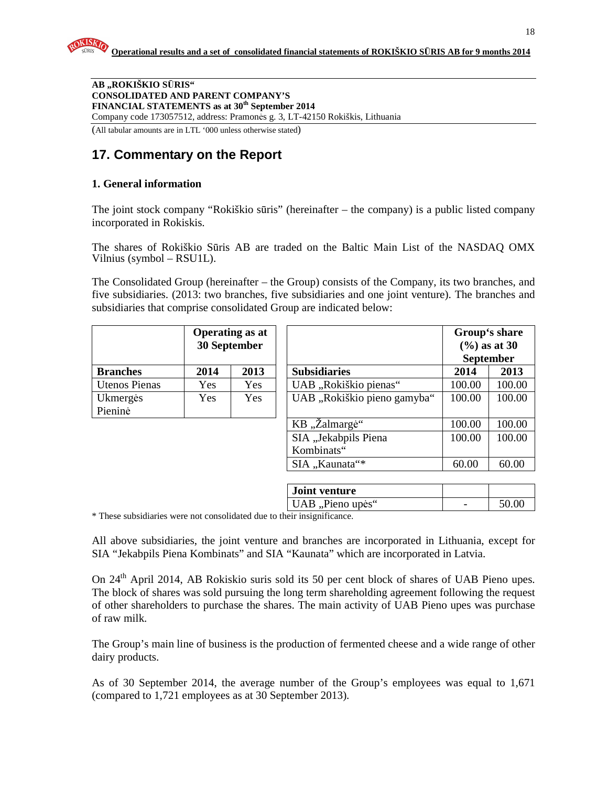**AB "ROKIŠKIO S**Ū**RIS" CONSOLIDATED AND PARENT COMPANY'S FINANCIAL STATEMENTS as at 30th September 2014**  Company code 173057512, address: Pramonės g. 3, LT-42150 Rokiškis, Lithuania

(All tabular amounts are in LTL '000 unless otherwise stated)

# **17. Commentary on the Report**

#### **1. General information**

The joint stock company "Rokiškio sūris" (hereinafter – the company) is a public listed company incorporated in Rokiskis.

The shares of Rokiškio Sūris AB are traded on the Baltic Main List of the NASDAQ OMX Vilnius (symbol – RSU1L).

The Consolidated Group (hereinafter – the Group) consists of the Company, its two branches, and five subsidiaries. (2013: two branches, five subsidiaries and one joint venture). The branches and subsidiaries that comprise consolidated Group are indicated below:

|                      |      | <b>Operating as at</b><br>30 September |                                                                 |        | Group's share<br>$(\frac{9}{6})$ as at 30<br><b>September</b> |
|----------------------|------|----------------------------------------|-----------------------------------------------------------------|--------|---------------------------------------------------------------|
| <b>Branches</b>      | 2014 | 2013                                   | <b>Subsidiaries</b>                                             | 2014   | 2013                                                          |
| <b>Utenos Pienas</b> | Yes  | Yes                                    | UAB "Rokiškio pienas"                                           | 100.00 | 100.00                                                        |
| Ukmergės             | Yes  | Yes                                    | UAB "Rokiškio pieno gamyba"                                     | 100.00 | 100.00                                                        |
| Pieninė              |      |                                        |                                                                 |        |                                                               |
|                      |      |                                        | KB "Žalmargė"                                                   | 100.00 | 100.00                                                        |
|                      |      |                                        | SIA "Jekabpils Piena                                            | 100.00 | 100.00                                                        |
|                      |      |                                        | Kombinats"                                                      |        |                                                               |
|                      |      |                                        | SIA "Kaunata"*                                                  | 60.00  | 60.00                                                         |
|                      |      |                                        |                                                                 |        |                                                               |
|                      |      |                                        | $\mathbf{L}$ and $\mathbf{L}$ and $\mathbf{L}$ and $\mathbf{L}$ |        |                                                               |

| <b>Joint venture</b> |       |
|----------------------|-------|
| UAB, Pieno upės"     | 50.00 |
|                      |       |

\* These subsidiaries were not consolidated due to their insignificance.

All above subsidiaries, the joint venture and branches are incorporated in Lithuania, except for SIA "Jekabpils Piena Kombinats" and SIA "Kaunata" which are incorporated in Latvia.

On 24<sup>th</sup> April 2014, AB Rokiskio suris sold its 50 per cent block of shares of UAB Pieno upes. The block of shares was sold pursuing the long term shareholding agreement following the request of other shareholders to purchase the shares. The main activity of UAB Pieno upes was purchase of raw milk.

The Group's main line of business is the production of fermented cheese and a wide range of other dairy products.

As of 30 September 2014, the average number of the Group's employees was equal to 1,671 (compared to 1,721 employees as at 30 September 2013).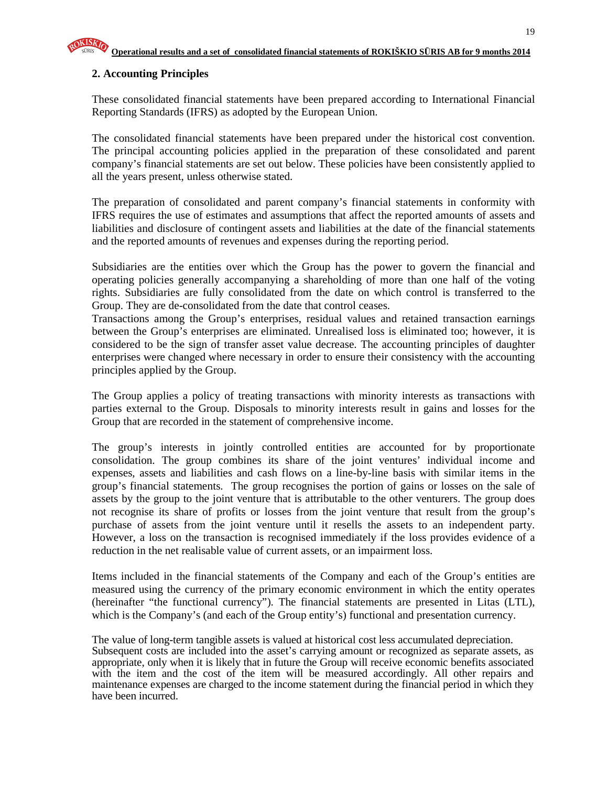#### **2. Accounting Principles**

These consolidated financial statements have been prepared according to International Financial Reporting Standards (IFRS) as adopted by the European Union.

The consolidated financial statements have been prepared under the historical cost convention. The principal accounting policies applied in the preparation of these consolidated and parent company's financial statements are set out below. These policies have been consistently applied to all the years present, unless otherwise stated.

The preparation of consolidated and parent company's financial statements in conformity with IFRS requires the use of estimates and assumptions that affect the reported amounts of assets and liabilities and disclosure of contingent assets and liabilities at the date of the financial statements and the reported amounts of revenues and expenses during the reporting period.

Subsidiaries are the entities over which the Group has the power to govern the financial and operating policies generally accompanying a shareholding of more than one half of the voting rights. Subsidiaries are fully consolidated from the date on which control is transferred to the Group. They are de-consolidated from the date that control ceases.

Transactions among the Group's enterprises, residual values and retained transaction earnings between the Group's enterprises are eliminated. Unrealised loss is eliminated too; however, it is considered to be the sign of transfer asset value decrease. The accounting principles of daughter enterprises were changed where necessary in order to ensure their consistency with the accounting principles applied by the Group.

The Group applies a policy of treating transactions with minority interests as transactions with parties external to the Group. Disposals to minority interests result in gains and losses for the Group that are recorded in the statement of comprehensive income.

The group's interests in jointly controlled entities are accounted for by proportionate consolidation. The group combines its share of the joint ventures' individual income and expenses, assets and liabilities and cash flows on a line-by-line basis with similar items in the group's financial statements. The group recognises the portion of gains or losses on the sale of assets by the group to the joint venture that is attributable to the other venturers. The group does not recognise its share of profits or losses from the joint venture that result from the group's purchase of assets from the joint venture until it resells the assets to an independent party. However, a loss on the transaction is recognised immediately if the loss provides evidence of a reduction in the net realisable value of current assets, or an impairment loss.

Items included in the financial statements of the Company and each of the Group's entities are measured using the currency of the primary economic environment in which the entity operates (hereinafter "the functional currency"). The financial statements are presented in Litas (LTL), which is the Company's (and each of the Group entity's) functional and presentation currency.

The value of long-term tangible assets is valued at historical cost less accumulated depreciation. Subsequent costs are included into the asset's carrying amount or recognized as separate assets, as appropriate, only when it is likely that in future the Group will receive economic benefits associated with the item and the cost of the item will be measured accordingly. All other repairs and maintenance expenses are charged to the income statement during the financial period in which they have been incurred.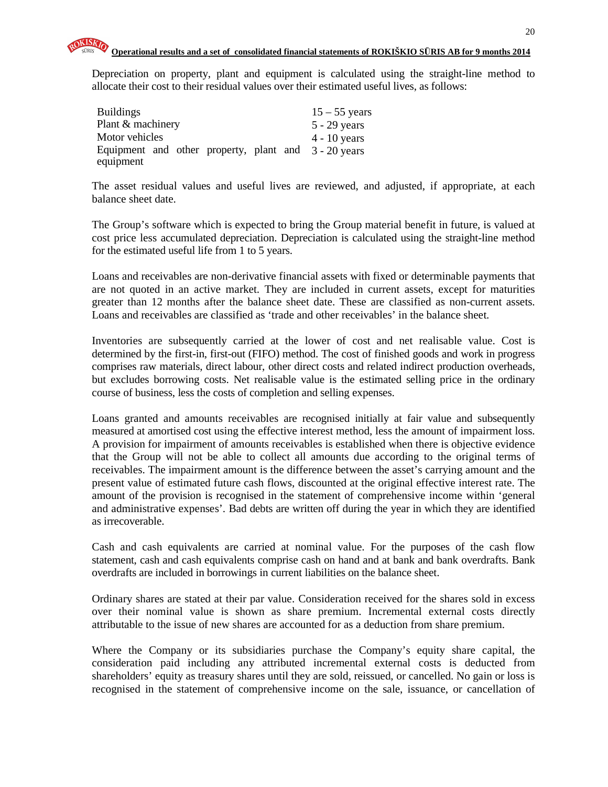Depreciation on property, plant and equipment is calculated using the straight-line method to allocate their cost to their residual values over their estimated useful lives, as follows:

| <b>Buildings</b>                                     | $15 - 55$ years |
|------------------------------------------------------|-----------------|
| Plant & machinery                                    | $5 - 29$ years  |
| Motor vehicles                                       | $4 - 10$ years  |
| Equipment and other property, plant and 3 - 20 years |                 |
| equipment                                            |                 |

The asset residual values and useful lives are reviewed, and adjusted, if appropriate, at each balance sheet date.

The Group's software which is expected to bring the Group material benefit in future, is valued at cost price less accumulated depreciation. Depreciation is calculated using the straight-line method for the estimated useful life from 1 to 5 years.

Loans and receivables are non-derivative financial assets with fixed or determinable payments that are not quoted in an active market. They are included in current assets, except for maturities greater than 12 months after the balance sheet date. These are classified as non-current assets. Loans and receivables are classified as 'trade and other receivables' in the balance sheet.

Inventories are subsequently carried at the lower of cost and net realisable value. Cost is determined by the first-in, first-out (FIFO) method. The cost of finished goods and work in progress comprises raw materials, direct labour, other direct costs and related indirect production overheads, but excludes borrowing costs. Net realisable value is the estimated selling price in the ordinary course of business, less the costs of completion and selling expenses.

Loans granted and amounts receivables are recognised initially at fair value and subsequently measured at amortised cost using the effective interest method, less the amount of impairment loss. A provision for impairment of amounts receivables is established when there is objective evidence that the Group will not be able to collect all amounts due according to the original terms of receivables. The impairment amount is the difference between the asset's carrying amount and the present value of estimated future cash flows, discounted at the original effective interest rate. The amount of the provision is recognised in the statement of comprehensive income within 'general and administrative expenses'. Bad debts are written off during the year in which they are identified as irrecoverable.

Cash and cash equivalents are carried at nominal value. For the purposes of the cash flow statement, cash and cash equivalents comprise cash on hand and at bank and bank overdrafts. Bank overdrafts are included in borrowings in current liabilities on the balance sheet.

Ordinary shares are stated at their par value. Consideration received for the shares sold in excess over their nominal value is shown as share premium. Incremental external costs directly attributable to the issue of new shares are accounted for as a deduction from share premium.

Where the Company or its subsidiaries purchase the Company's equity share capital, the consideration paid including any attributed incremental external costs is deducted from shareholders' equity as treasury shares until they are sold, reissued, or cancelled. No gain or loss is recognised in the statement of comprehensive income on the sale, issuance, or cancellation of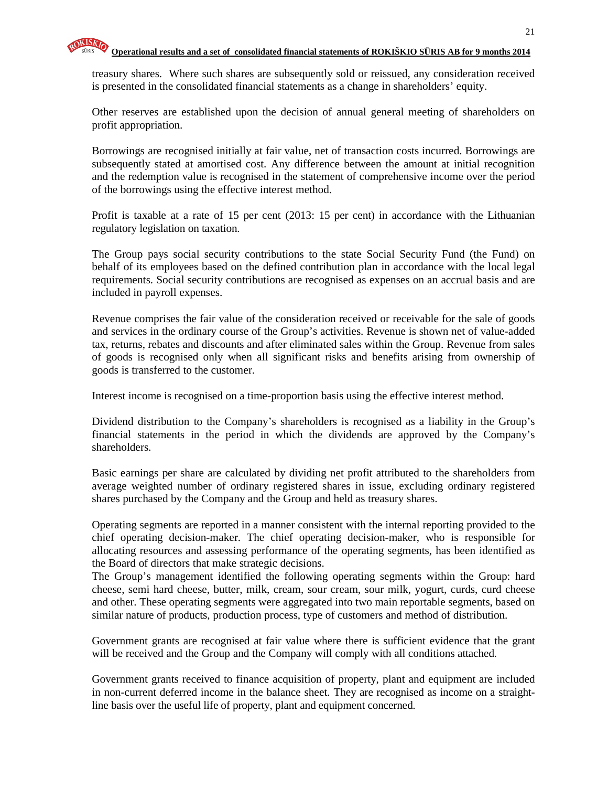treasury shares. Where such shares are subsequently sold or reissued, any consideration received is presented in the consolidated financial statements as a change in shareholders' equity.

Other reserves are established upon the decision of annual general meeting of shareholders on profit appropriation.

Borrowings are recognised initially at fair value, net of transaction costs incurred. Borrowings are subsequently stated at amortised cost. Any difference between the amount at initial recognition and the redemption value is recognised in the statement of comprehensive income over the period of the borrowings using the effective interest method.

Profit is taxable at a rate of 15 per cent (2013: 15 per cent) in accordance with the Lithuanian regulatory legislation on taxation.

The Group pays social security contributions to the state Social Security Fund (the Fund) on behalf of its employees based on the defined contribution plan in accordance with the local legal requirements. Social security contributions are recognised as expenses on an accrual basis and are included in payroll expenses.

Revenue comprises the fair value of the consideration received or receivable for the sale of goods and services in the ordinary course of the Group's activities. Revenue is shown net of value-added tax, returns, rebates and discounts and after eliminated sales within the Group. Revenue from sales of goods is recognised only when all significant risks and benefits arising from ownership of goods is transferred to the customer.

Interest income is recognised on a time-proportion basis using the effective interest method.

Dividend distribution to the Company's shareholders is recognised as a liability in the Group's financial statements in the period in which the dividends are approved by the Company's shareholders.

Basic earnings per share are calculated by dividing net profit attributed to the shareholders from average weighted number of ordinary registered shares in issue, excluding ordinary registered shares purchased by the Company and the Group and held as treasury shares.

Operating segments are reported in a manner consistent with the internal reporting provided to the chief operating decision-maker. The chief operating decision-maker, who is responsible for allocating resources and assessing performance of the operating segments, has been identified as the Board of directors that make strategic decisions.

The Group's management identified the following operating segments within the Group: hard cheese, semi hard cheese, butter, milk, cream, sour cream, sour milk, yogurt, curds, curd cheese and other. These operating segments were aggregated into two main reportable segments, based on similar nature of products, production process, type of customers and method of distribution.

Government grants are recognised at fair value where there is sufficient evidence that the grant will be received and the Group and the Company will comply with all conditions attached.

Government grants received to finance acquisition of property, plant and equipment are included in non-current deferred income in the balance sheet. They are recognised as income on a straightline basis over the useful life of property, plant and equipment concerned.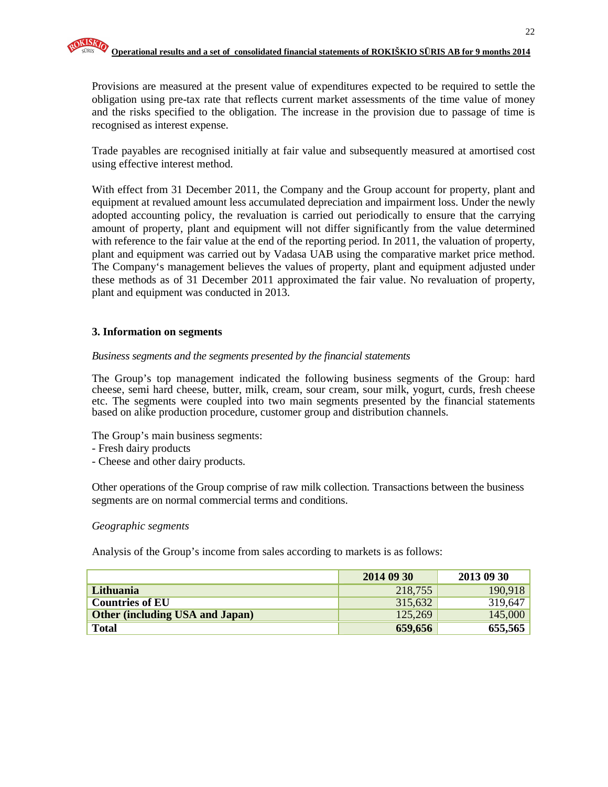Provisions are measured at the present value of expenditures expected to be required to settle the obligation using pre-tax rate that reflects current market assessments of the time value of money and the risks specified to the obligation. The increase in the provision due to passage of time is recognised as interest expense.

Trade payables are recognised initially at fair value and subsequently measured at amortised cost using effective interest method.

With effect from 31 December 2011, the Company and the Group account for property, plant and equipment at revalued amount less accumulated depreciation and impairment loss. Under the newly adopted accounting policy, the revaluation is carried out periodically to ensure that the carrying amount of property, plant and equipment will not differ significantly from the value determined with reference to the fair value at the end of the reporting period. In 2011, the valuation of property, plant and equipment was carried out by Vadasa UAB using the comparative market price method. The Company's management believes the values of property, plant and equipment adjusted under these methods as of 31 December 2011 approximated the fair value. No revaluation of property, plant and equipment was conducted in 2013.

#### **3. Information on segments**

#### *Business segments and the segments presented by the financial statements*

The Group's top management indicated the following business segments of the Group: hard cheese, semi hard cheese, butter, milk, cream, sour cream, sour milk, yogurt, curds, fresh cheese etc. The segments were coupled into two main segments presented by the financial statements based on alike production procedure, customer group and distribution channels.

The Group's main business segments:

- Fresh dairy products
- Cheese and other dairy products.

Other operations of the Group comprise of raw milk collection. Transactions between the business segments are on normal commercial terms and conditions.

#### *Geographic segments*

Analysis of the Group's income from sales according to markets is as follows:

|                                        | 2014 09 30 | 2013 09 30 |
|----------------------------------------|------------|------------|
| Lithuania                              | 218,755    | 190,918    |
| <b>Countries of EU</b>                 | 315,632    | 319,647    |
| <b>Other (including USA and Japan)</b> | 125,269    | 145,000    |
| <b>Total</b>                           | 659,656    | 655,565    |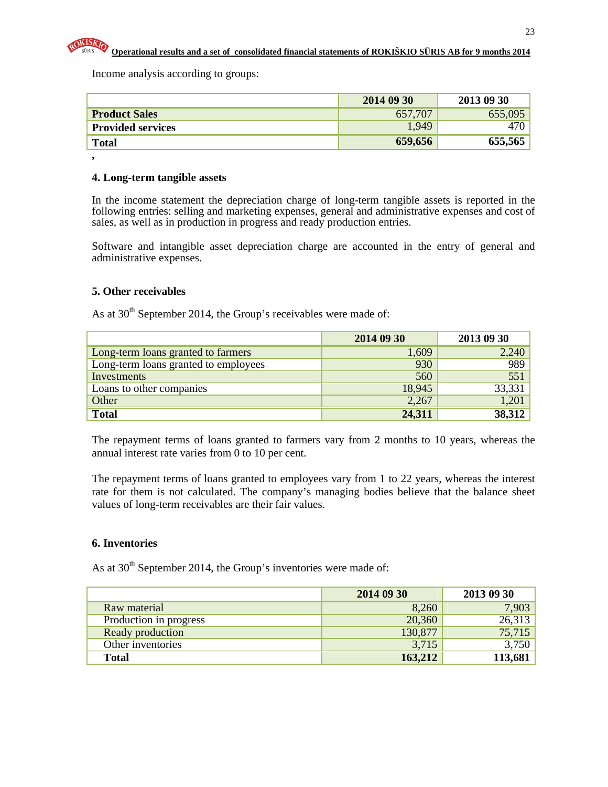

**,** 

Income analysis according to groups:

|                          | 2014 09 30 | 2013 09 30 |
|--------------------------|------------|------------|
| <b>Product Sales</b>     | 657,707    | 655,095    |
| <b>Provided services</b> | 1,949      |            |
| <b>Total</b>             | 659,656    | 655,565    |

#### **4. Long-term tangible assets**

In the income statement the depreciation charge of long-term tangible assets is reported in the following entries: selling and marketing expenses, general and administrative expenses and cost of sales, as well as in production in progress and ready production entries.

Software and intangible asset depreciation charge are accounted in the entry of general and administrative expenses.

#### **5. Other receivables**

As at  $30<sup>th</sup>$  September 2014, the Group's receivables were made of:

|                                      | 2014 09 30 | 2013 09 30 |
|--------------------------------------|------------|------------|
| Long-term loans granted to farmers   | 1,609      | 2,240      |
| Long-term loans granted to employees | 930        | 989        |
| Investments                          | 560        | 551        |
| Loans to other companies             | 18,945     | 33,331     |
| Other                                | 2,267      | 1,201      |
| <b>Total</b>                         | 24,311     | 38,312     |

The repayment terms of loans granted to farmers vary from 2 months to 10 years, whereas the annual interest rate varies from 0 to 10 per cent.

The repayment terms of loans granted to employees vary from 1 to 22 years, whereas the interest rate for them is not calculated. The company's managing bodies believe that the balance sheet values of long-term receivables are their fair values.

#### **6. Inventories**

As at  $30<sup>th</sup>$  September 2014, the Group's inventories were made of:

|                        | 2014 09 30 | 2013 09 30 |
|------------------------|------------|------------|
| Raw material           | 8,260      | 7,903      |
| Production in progress | 20,360     | 26,313     |
| Ready production       | 130,877    | 75,715     |
| Other inventories      | 3,715      | 3,750      |
| <b>Total</b>           | 163,212    | 113,681    |